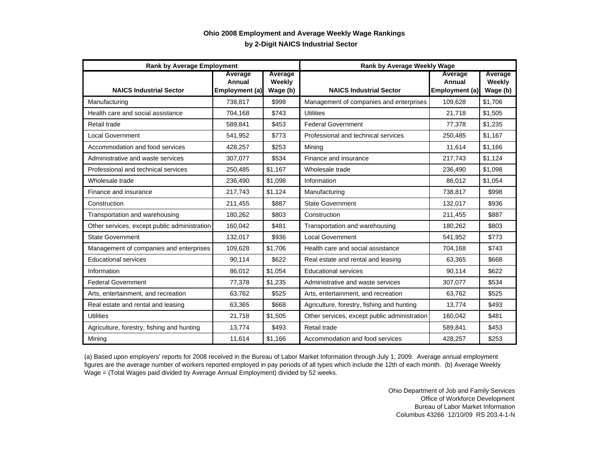## **by 2-Digit NAICS Industrial Sector Ohio 2008 Employment and Average Weekly Wage Rankings**

| <b>Rank by Average Employment</b>            |                                     |                               | <b>Rank by Average Weekly Wage</b>           |                                     |                               |
|----------------------------------------------|-------------------------------------|-------------------------------|----------------------------------------------|-------------------------------------|-------------------------------|
| <b>NAICS Industrial Sector</b>               | Average<br>Annual<br>Employment (a) | Average<br>Weekly<br>Wage (b) | <b>NAICS Industrial Sector</b>               | Average<br>Annual<br>Employment (a) | Average<br>Weekly<br>Wage (b) |
| Manufacturing                                | 738,817                             | \$998                         | Management of companies and enterprises      | 109,628                             | \$1,706                       |
| Health care and social assistance            | 704,168                             | \$743                         | <b>Utilities</b>                             | 21,718                              | \$1,505                       |
| Retail trade                                 | 589,841                             | \$453                         | <b>Federal Government</b>                    | 77,378                              | \$1,235                       |
| Local Government                             | 541,952                             | \$773                         | Professional and technical services          | 250,485                             | \$1,167                       |
| Accommodation and food services              | 428,257                             | \$253                         | Mining                                       | 11,614                              | \$1,166                       |
| Administrative and waste services            | 307,077                             | \$534                         | Finance and insurance                        | 217,743                             | \$1.124                       |
| Professional and technical services          | 250,485                             | \$1,167                       | Wholesale trade                              | 236,490                             | \$1,098                       |
| Wholesale trade                              | 236,490                             | \$1,098                       | Information                                  | 86,012                              | \$1,054                       |
| Finance and insurance                        | 217,743                             | \$1,124                       | Manufacturing                                | 738,817                             | \$998                         |
| Construction                                 | 211.455                             | \$887                         | <b>State Government</b>                      | 132.017                             | \$936                         |
| Transportation and warehousing               | 180,262                             | \$803                         | Construction                                 | 211,455                             | \$887                         |
| Other services, except public administration | 160,042                             | \$481                         | Transportation and warehousing               | 180,262                             | \$803                         |
| <b>State Government</b>                      | 132,017                             | \$936                         | <b>Local Government</b>                      | 541,952                             | \$773                         |
| Management of companies and enterprises      | 109,628                             | \$1,706                       | Health care and social assistance            | 704,168                             | \$743                         |
| <b>Educational services</b>                  | 90,114                              | \$622                         | Real estate and rental and leasing           | 63.365                              | \$668                         |
| Information                                  | 86,012                              | \$1,054                       | <b>Educational services</b>                  | 90,114                              | \$622                         |
| <b>Federal Government</b>                    | 77,378                              | \$1,235                       | Administrative and waste services            | 307,077                             | \$534                         |
| Arts, entertainment, and recreation          | 63,762                              | \$525                         | Arts, entertainment, and recreation          | 63.762                              | \$525                         |
| Real estate and rental and leasing           | 63,365                              | \$668                         | Agriculture, forestry, fishing and hunting   | 13.774                              | \$493                         |
| <b>Utilities</b>                             | 21,718                              | \$1,505                       | Other services, except public administration | 160,042                             | \$481                         |
| Agriculture, forestry, fishing and hunting   | 13,774                              | \$493                         | Retail trade                                 | 589,841                             | \$453                         |
| Mining                                       | 11,614                              | \$1,166                       | Accommodation and food services              | 428,257                             | \$253                         |

(a) Based upon employers' reports for 2008 received in the Bureau of Labor Market Information through July 1, 2009. Average annual employment figures are the average number of workers reported employed in pay periods of all types which include the 12th of each month. (b) Average Weekly Wage = (Total Wages paid divided by Average Annual Employment) divided by 52 weeks.

> Ohio Department of Job and Family Services Office of Workforce Development Bureau of Labor Market Information Columbus 43266 12/10/09 RS 203.4-1-N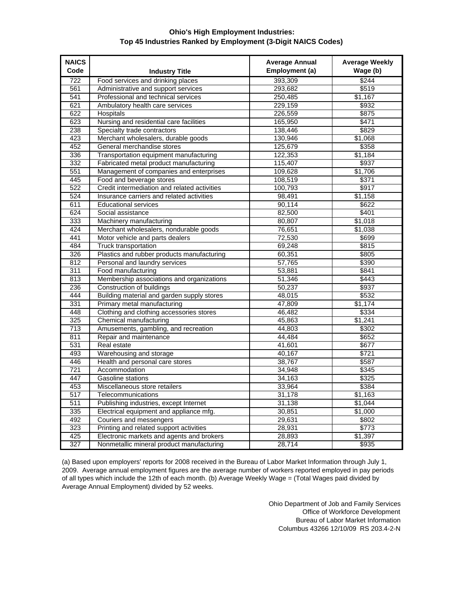## **Ohio's High Employment Industries: Top 45 Industries Ranked by Employment (3-Digit NAICS Codes)**

| <b>NAICS</b><br>Code | <b>Industry Title</b>                                                      | <b>Average Annual</b><br>Employment (a) | <b>Average Weekly</b><br>Wage (b) |
|----------------------|----------------------------------------------------------------------------|-----------------------------------------|-----------------------------------|
|                      | Food services and drinking places                                          |                                         | \$244                             |
| 722<br>561           |                                                                            | 393,309<br>293,682                      | \$519                             |
|                      | Administrative and support services<br>Professional and technical services |                                         | \$1,167                           |
| 541<br>621           |                                                                            | 250,485                                 |                                   |
|                      | Ambulatory health care services                                            | 229,159                                 | \$932                             |
| 622                  | Hospitals                                                                  | 226,559                                 | \$875                             |
| 623                  | Nursing and residential care facilities                                    | 165,950                                 | \$471                             |
| 238                  | Specialty trade contractors                                                | 138,446                                 | \$829                             |
| 423                  | Merchant wholesalers, durable goods                                        | 130,946                                 | \$1,068                           |
| 452                  | General merchandise stores                                                 | 125,679                                 | \$358                             |
| 336                  | Transportation equipment manufacturing                                     | 122,353                                 | \$1,184                           |
| 332                  | Fabricated metal product manufacturing                                     | 115,407                                 | \$937                             |
| 551                  | Management of companies and enterprises                                    | 109,628                                 | \$1,706                           |
| 445                  | Food and beverage stores                                                   | 108,519                                 | \$371                             |
| 522                  | Credit intermediation and related activities                               | 100,793                                 | \$917                             |
| 524                  | Insurance carriers and related activities                                  | 98,491                                  | \$1,158                           |
| 611                  | <b>Educational services</b>                                                | 90,114                                  | \$622                             |
| 624                  | Social assistance                                                          | 82,500                                  | \$401                             |
| 333                  | Machinery manufacturing                                                    | 80,807                                  | \$1,018                           |
| 424                  | Merchant wholesalers, nondurable goods                                     | 76,651                                  | \$1,038                           |
| 441                  | Motor vehicle and parts dealers                                            | 72,530                                  | \$699                             |
| 484                  | <b>Truck transportation</b>                                                | 69,248                                  | \$815                             |
| 326                  | Plastics and rubber products manufacturing                                 | 60,351                                  | \$805                             |
| 812                  | Personal and laundry services                                              | 57,765                                  | \$390                             |
| 311                  | Food manufacturing                                                         | 53,881                                  | \$841                             |
| 813                  | Membership associations and organizations                                  | 51,346                                  | \$443                             |
| 236                  | Construction of buildings                                                  | 50,237                                  | \$937                             |
| 444                  | Building material and garden supply stores                                 | 48,015                                  | \$532                             |
| 331                  | Primary metal manufacturing                                                | 47,809                                  | \$1,174                           |
| 448                  | Clothing and clothing accessories stores                                   | 46,482                                  | \$334                             |
| 325                  | Chemical manufacturing                                                     | 45,863                                  | \$1,241                           |
| 713                  | Amusements, gambling, and recreation                                       | 44,803                                  | \$302                             |
| 811                  | Repair and maintenance                                                     | 44,484                                  | \$652                             |
| 531                  | Real estate                                                                | 41,601                                  | \$677                             |
| 493                  | Warehousing and storage                                                    | 40,167                                  | \$721                             |
| 446                  | Health and personal care stores                                            | 38.767                                  | \$587                             |
| $\overline{721}$     | Accommodation                                                              | 34,948                                  | \$345                             |
| 447                  | Gasoline stations                                                          | 34,163                                  | \$325                             |
| 453                  | Miscellaneous store retailers                                              | 33,964                                  | \$384                             |
| 517                  | Telecommunications                                                         | 31,178                                  | \$1,163                           |
| 511                  | Publishing industries, except Internet                                     | 31,138                                  | \$1,044                           |
| 335                  | Electrical equipment and appliance mfg.                                    | 30,851                                  | \$1,000                           |
| 492                  | Couriers and messengers                                                    | 29,631                                  | \$802                             |
| 323                  | Printing and related support activities                                    | 28,931                                  | \$773                             |
| 425                  | Electronic markets and agents and brokers                                  | 28,893                                  | \$1,397                           |
| 327                  | Nonmetallic mineral product manufacturing                                  | 28,714                                  | \$935                             |

(a) Based upon employers' reports for 2008 received in the Bureau of Labor Market Information through July 1, 2009. Average annual employment figures are the average number of workers reported employed in pay periods of all types which include the 12th of each month. (b) Average Weekly Wage = (Total Wages paid divided by Average Annual Employment) divided by 52 weeks.

> Ohio Department of Job and Family Services Office of Workforce Development Bureau of Labor Market Information Columbus 43266 12/10/09 RS 203.4-2-N